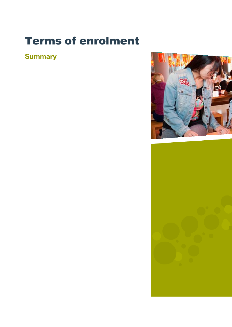# Terms of enrolment

# **Summary**



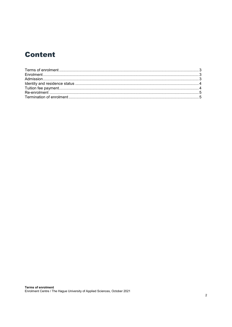## **Content**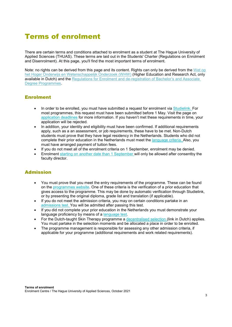## <span id="page-2-0"></span>Terms of enrolment

There are certain terms and conditions attached to enrolment as a student at The Hague University of Applied Sciences (THUAS). These terms are laid out in the Students' Charter (Regulations on Enrolment and Disenrolment). At this page, you'll find the most important terms of enrolment.

Note: no rights can be derived from this page and its content. Rights can only be derived from the Wet op [het Hoger Onderwijs en Wetenschappelijk Onderzoek \(WHW\)](https://wetten.overheid.nl/BWBR0005682/2021-10-01) (Higher Education and Research Act, only available in Dutch) and the Regulations for [Enrolment and de-registration of Bachelor's and Associate](https://www.thehagueuniversity.com/study-choice/applications-finances-and-moving-here/applying/entry-requirements)  [Degree Programmes.](https://www.thehagueuniversity.com/study-choice/applications-finances-and-moving-here/applying/entry-requirements)

#### <span id="page-2-1"></span>Enrolment

- In order to be enrolled, you must have submitted a request for enrolment via [Studielink. F](http://www.studielink.nl/)or most programmes, this request must have been submitted before 1 May. Visit the page on [application deadlines](https://www.thehagueuniversity.com/study-choice/applications-finances-and-moving-here/applying/how-to-apply) for more information. If you haven't met these requirements in time, your application will be rejected.
- In addition, your identity and eligibility must have been confirmed. If additional requirements apply, such as a an assessment, or job requirements, these have to be met. Non-Dutch students must prove that they have legal residency in the Netherlands. Students who did not complete their prior education in the Netherlands must meet the [language criteria. A](https://www.thehagueuniversity.com/study-choice/applications-finances-and-moving-here/applying/entry-requirements)lso, you must have arranged payment of tuition fees.
- If you do not meet all of the enrolment criteria on 1 September, enrolment may be denied.
- Enrolment [starting on another date than 1 September w](https://www.thehagueuniversity.com/study-choice/applications-finances-and-moving-here/contacts-and-faqs)ill only be allowed after consentby the faculty director.

#### <span id="page-2-2"></span>Admission

- You must prove that you meet the entry requirements of the programme. These can be found on the [programmes website. O](http://www.thehagueuniversity.com/programmes/bachelors)ne of these criteria is the verification of a prior education that gives access to the programme. This may be done by automatic verification through Studielink, or by presenting the original diploma, grade list and translation (if applicable).
- If you do not meet the admission criteria, you may on certain conditions partake in an [admissions](https://www.thehagueuniversity.com/study-choice/applications-finances-and-moving-here/applying/entry-requirements) test. You will be admitted after passing this test.
- If you did not complete your prior education in the Netherlands you must demonstrate your language proficiency by means of a [language test.](https://www.thehagueuniversity.com/study-choice/applications-finances-and-moving-here/applying/entry-requirements)
- For the Dutch-taught Skin Therapy programme a [decentralised selection \(](https://www.dehaagsehogeschool.nl/studie-kiezen/alles-over-aanmelden-en-inschrijven/aanmelden-hoe-doe-je-dat)link in Dutch) applies. You must partake in the selection moments and be allocated a place in order to be enrolled.
- The programme management is responsible for assessing any other admission criteria, if applicable for your programme (additional requirements and work related requirements).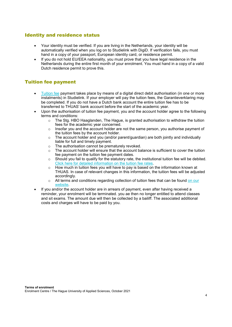#### <span id="page-3-0"></span>Identity and residence status

- Your identity must be verified. If you are living in the Netherlands, your identity will be automatically verified when you log on to Studielink with DigiD. If verification fails, you must hand in a copy of your passport, European identity card, or residence permit.
- If you do not hold EU/EEA nationality, you must prove that you have legal residence in the Netherlands during the entire first month of your enrolment. You must hand in a copy of a valid Dutch residence permit to prove this.

#### <span id="page-3-1"></span>Tuition fee payment

- [Tuition fee](https://www.thehagueuniversity.com/study-choice/applications-finances-and-moving-here/finance/tuition-fees) payment takes place by means of a digital direct debit authorisation (in one or more instalments) in Studielink. If your employer will pay the tuition fees, the Garantieverklaring may be completed. If you do not have a Dutch bank account the entire tuition fee has to be transferred to THUAS' bank account before the start of the academic year.
- Upon the authorisation of tuition fee payment, you and the account holder agree to the following terms and conditions:
	- $\circ$  The Stg. HBO Haaglanden, The Hague, is granted authorisation to withdraw the tuition fees for the academic year concerned.
	- $\circ$  Insofar you and the account holder are not the same person, you authorise payment of the tuition fees by the account holder.
	- $\circ$  The account holder and you (and/or parent/guardian) are both jointly and individually liable for full and timely payment.
	- $\circ$  The authorisation cannot be prematurely revoked.<br> $\circ$  The account holder will ensure that the account ba
	- The account holder will ensure that the account balance is sufficient to cover the tuition fee payment on the tuition fee payment dates.
	- $\circ$  Should you fail to qualify for the statutory rate, the institutional tuition fee will be debited. Click here for [detailed information on](https://www.thehagueuniversity.com/study-choice/applications-finances-and-moving-here/finance/tuition-fees) the tuition fee rates.
	- o How much in tuition fees you will have to pay is based on the information known at THUAS. In case of relevant changes in this information, the tuition fees will be adjusted accordingly.
	- o All terms and conditions regarding collection of tuition fees that can be found [on our](https://www.thehagueuniversity.com/study-choice/applications-finances-and-moving-here/finance/tuition-fees) [website.](https://www.thehagueuniversity.com/study-choice/applications-finances-and-moving-here/finance/tuition-fees)
- If you and/or the account holder are in arrears of payment, even after having received a reminder, your enrolment will be terminated. you ae then no longer entitled to attend classes and sit exams. The amount due will then be collected by a bailiff. The associated additional costs and charges will have to be paid by you.